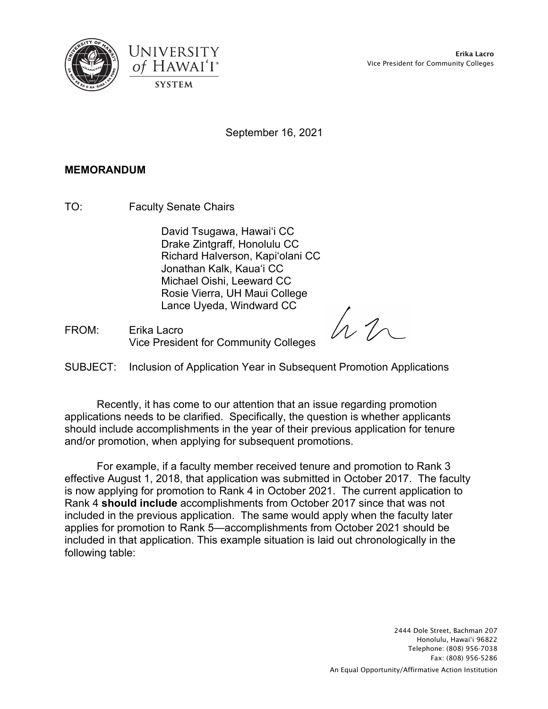





September 16, 2021

## **MEMORANDUM**

TO: Faculty Senate Chairs

David Tsugawa, Hawaiʻi CC Drake Zintgraff, Honolulu CC Richard Halverson, Kapiʻolani CC Jonathan Kalk, Kauaʻi CC Michael Oishi, Leeward CC Rosie Vierra, UH Maui College Lance Uyeda, Windward CC

FROM: Erika Lacro Vice President for Community Colleges

hn

SUBJECT: Inclusion of Application Year in Subsequent Promotion Applications

Recently, it has come to our attention that an issue regarding promotion applications needs to be clarified. Specifically, the question is whether applicants should include accomplishments in the year of their previous application for tenure and/or promotion, when applying for subsequent promotions.

For example, if a faculty member received tenure and promotion to Rank 3 effective August 1, 2018, that application was submitted in October 2017. The faculty is now applying for promotion to Rank 4 in October 2021. The current application to Rank 4 **should include** accomplishments from October 2017 since that was not included in the previous application. The same would apply when the faculty later applies for promotion to Rank 5—accomplishments from October 2021 should be included in that application. This example situation is laid out chronologically in the following table:

> 2444 Dole Street, Bachman 207 Honolulu, Hawai'i 96822 Telephone: (808) 956-7038 Fax: (808) 956-5286 An Equal Opportunity/Affirmative Action Institution